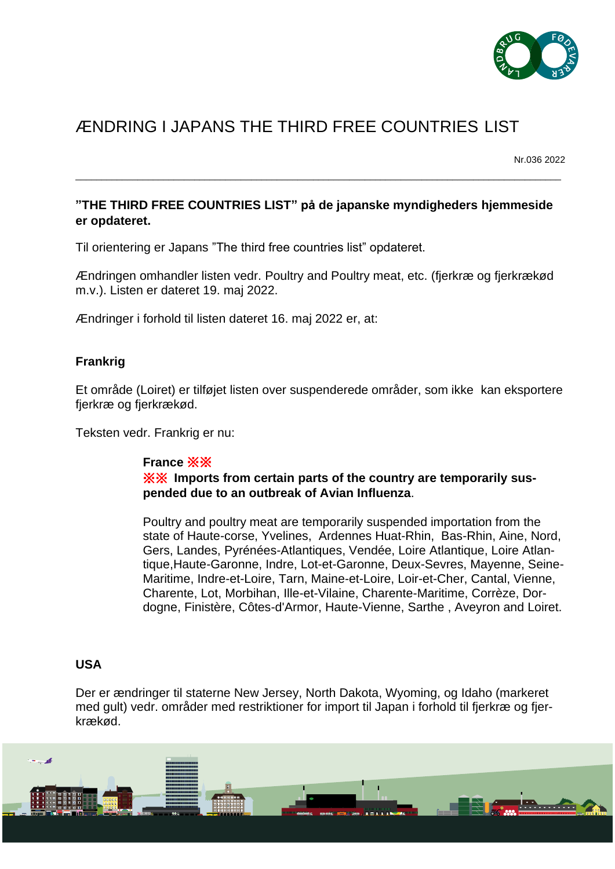

# ÆNDRING I JAPANS THE THIRD FREE COUNTRIES LIST

Nr.036 2022

## **"THE THIRD FREE COUNTRIES LIST" på de japanske myndigheders hjemmeside er opdateret.**

\_\_\_\_\_\_\_\_\_\_\_\_\_\_\_\_\_\_\_\_\_\_\_\_\_\_\_\_\_\_\_\_\_\_\_\_\_\_\_\_\_\_\_\_\_\_\_\_\_\_\_\_\_\_\_\_\_\_\_\_\_\_\_\_\_\_\_\_\_\_\_\_\_\_\_\_\_\_\_\_\_\_\_\_\_\_\_\_\_\_\_\_\_\_

Til orientering er Japans "The third free countries list" opdateret.

Ændringen omhandler listen vedr. Poultry and Poultry meat, etc. (fjerkræ og fjerkrækød m.v.). Listen er dateret 19. maj 2022.

Ændringer i forhold til listen dateret 16. maj 2022 er, at:

#### **Frankrig**

Et område (Loiret) er tilføjet listen over suspenderede områder, som ikke kan eksportere fjerkræ og fjerkrækød.

Teksten vedr. Frankrig er nu:

#### **France** ※※

※※ **Imports from certain parts of the country are temporarily suspended due to an outbreak of Avian Influenza**.

Poultry and poultry meat are temporarily suspended importation from the state of Haute-corse, Yvelines, Ardennes Huat-Rhin, Bas-Rhin, Aine, Nord, Gers, Landes, Pyrénées-Atlantiques, Vendée, Loire Atlantique, Loire Atlantique,Haute-Garonne, Indre, Lot-et-Garonne, Deux-Sevres, Mayenne, Seine-Maritime, Indre-et-Loire, Tarn, Maine-et-Loire, Loir-et-Cher, Cantal, Vienne, Charente, Lot, Morbihan, Ille-et-Vilaine, Charente-Maritime, Corrèze, Dordogne, Finistère, Côtes-d'Armor, Haute-Vienne, Sarthe , Aveyron and Loiret.

#### **USA**

Der er ændringer til staterne New Jersey, North Dakota, Wyoming, og Idaho (markeret med gult) vedr. områder med restriktioner for import til Japan i forhold til fjerkræ og fjerkrækød.